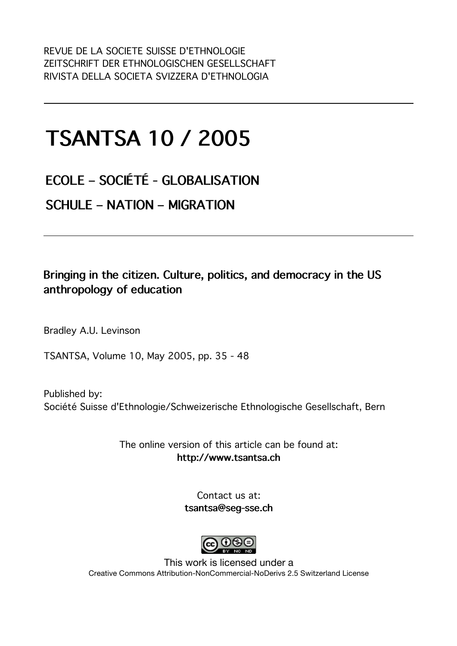## **TSANTSA 10 / 2005**

**ECOLE – SOCIÉTÉ - GLOBALISATION SCHULE – NATION – MIGRATION** 

#### **Bringing in the citizen. Culture, politics, and democracy in the US anthropology of education**

Bradley A.U. Levinson

TSANTSA, Volume 10, May 2005, pp. 35 - 48

Published by: Société Suisse d'Ethnologie/Schweizerische Ethnologische Gesellschaft, Bern

> The online version of this article can be found at: **http://www.tsantsa.ch**

> > Contact us at: **tsantsa@seg-sse.ch**



This work is licensed under a Creative Commons Attribution-NonCommercial-NoDerivs 2.5 Switzerland License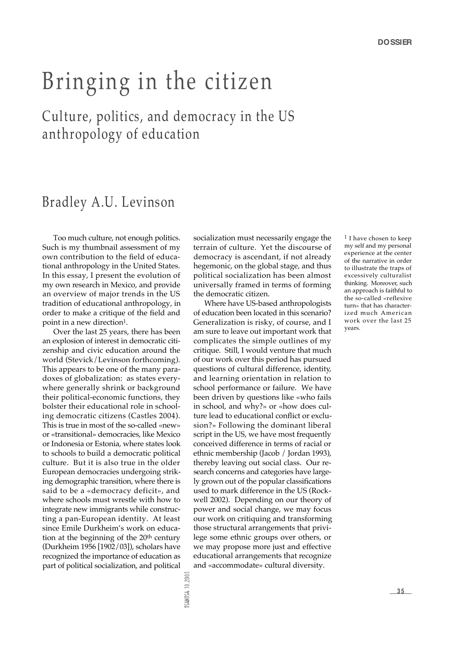# Bringing in the citizen

## Culture, politics, and democracy in the US anthropology of education

#### Bradley A.U. Levinson

Too much culture, not enough politics. Such is my thumbnail assessment of my own contribution to the field of educational anthropology in the United States. In this essay, I present the evolution of my own research in Mexico, and provide an overview of major trends in the US tradition of educational anthropology, in order to make a critique of the field and point in a new direction<sup>1</sup>.

Over the last 25 years, there has been an explosion of interest in democratic citizenship and civic education around the world (Stevick/Levinson forthcoming). This appears to be one of the many paradoxes of globalization: as states everywhere generally shrink or background their political-economic functions, they bolster their educational role in schooling democratic citizens (Castles 2004). This is true in most of the so-called «new» or «transitional» democracies, like Mexico or Indonesia or Estonia, where states look to schools to build a democratic political culture. But it is also true in the older European democracies undergoing striking demographic transition, where there is said to be a «democracy deficit», and where schools must wrestle with how to integrate new immigrants while constructing a pan-European identity. At least since Emile Durkheim's work on education at the beginning of the  $20<sup>th</sup>$  century (Durkheim 1956 [1902/03]), scholars have recognized the importance of education as part of political socialization, and political

socialization must necessarily engage the terrain of culture. Yet the discourse of democracy is ascendant, if not already hegemonic, on the global stage, and thus political socialization has been almost universally framed in terms of forming the democratic citizen.

Where have US-based anthropologists of education been located in this scenario? Generalization is risky, of course, and I am sure to leave out important work that complicates the simple outlines of my critique. Still, I would venture that much of our work over this period has pursued questions of cultural difference, identity, and learning orientation in relation to school performance or failure. We have been driven by questions like «who fails in school, and why?» or «how does culture lead to educational conflict or exclusion?» Following the dominant liberal script in the US, we have most frequently conceived difference in terms of racial or ethnic membership (Jacob / Jordan 1993), thereby leaving out social class. Our research concerns and categories have largely grown out of the popular classifications used to mark difference in the US (Rockwell 2002). Depending on our theory of power and social change, we may focus our work on critiquing and transforming those structural arrangements that privilege some ethnic groups over others, or we may propose more just and effective educational arrangements that recognize and «accommodate» cultural diversity.

1 I have chosen to keep my self and my personal experience at the center of the narrative in order to illustrate the traps of excessively culturalist thinking. Moreover, such an approach is faithful to the so-called «reflexive turn» that has characterized much American work over the last 25 years.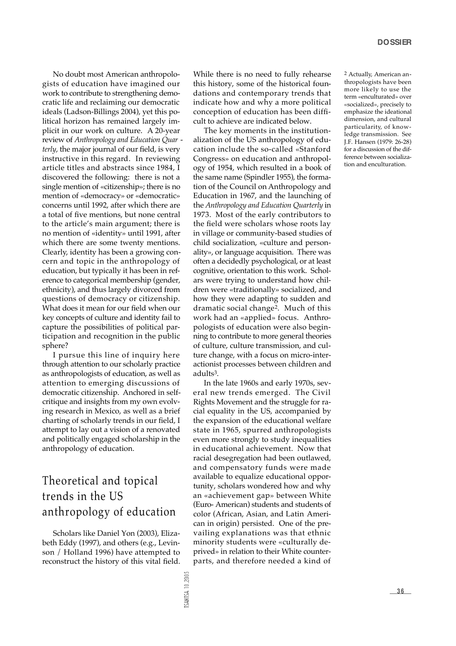No doubt most American anthropologists of education have imagined our work to contribute to strengthening democratic life and reclaiming our democratic ideals (Ladson-Billings 2004), yet this political horizon has remained largely implicit in our work on culture. A 20-year review of *Anthropology and Education Quar* terly, the major journal of our field, is very in structive in this regard. In reviewing article titles and abstracts since 1984, I discovered the following: there is not a single mention of «citizenship»; there is no mention of «democracy» or «democratic» concerns until 1992, after which there are a total of five mentions, but none central to the article's main argument; there is no mention of «identity» until 1991, after which there are some twenty mentions. Clearly, identity has been a growing concern and topic in the anthropology of education, but typically it has been in reference to categorical membership (gender, ethnicity), and thus largely divorced from questions of democracy or citizenship. What does it mean for our field when our key concepts of culture and identity fail to capture the possibilities of political participation and recognition in the public sphere?

I pursue this line of inquiry here through attention to our scholarly practice as anthropologists of education, as well as attention to emerging discussions of democratic citizenship. Anchored in selfcritique and insights from my own evolving research in Mexico, as well as a brief charting of scholarly trends in our field, I attempt to lay out a vision of a renovated and politically engaged scholarship in the anthropology of education.

#### Theoretical and topical trends in the US an thropology of education

Scholars like Daniel Yon (2003), Elizabeth Eddy (1997), and others (e.g., Levinson / Holland 1996) have attempted to reconstruct the history of this vital field. While there is no need to fully rehearse this history, some of the historical foundations and contemporary trends that indicate how and why a more political conception of education has been difficult to achieve are indicated below.

The key moments in the institutionalization of the US anthropology of education include the so-called «Stanford Congress» on education and anthropology of 1954, which resulted in a book of the same name (Spindler 1955), the formation of the Council on Anthropology and Education in 1967, and the launching of the Anthropology and Education Quarterly in 1973. Most of the early contributors to the field were scholars whose roots lay in village or community-based studies of child socialization, «culture and personality», or language acquisition. There was often a decidedly psychological, or at least cognitive, orientation to this work. Scholars were trying to understand how children were «traditionally» socialized, and how they were adapting to sudden and dramatic social change2. Much of this work had an «applied» focus. Anthropologists of education were also beginning to contribute to more general theories of culture, culture transmission, and culture change, with a focus on micro-interactionist processes between children and adults3.

In the late 1960s and early 1970s, several new trends emerged. The Civil Rights Movement and the struggle for racial equality in the US, accompanied by the expansion of the educational welfare state in 1965, spurred anthropologists even more strongly to study inequalities in educational achievement. Now that racial desegregation had been outlawed, and compensatory funds were made available to equalize educational opportunity, scholars wondered how and why an «achievement gap» between White (Euro- American) students and students of color (African, Asian, and Latin American in origin) persisted. One of the prevailing explanations was that ethnic minority students were «culturally deprived» in relation to their White counterparts, and therefore needed a kind of

2 Actually, American anthropologists have been more likely to use the term «enculturated» over «socialized», precisely to emphasize the ideational dimension, and cultural particularity, of knowledge transmission. See J.F. Hansen (1979: 26-28) for a discussion of the difference between socialization and enculturation.

SANTSA 10.200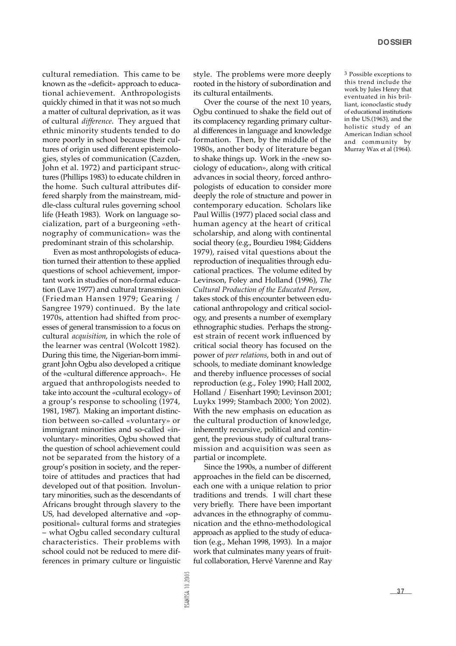cultural remediation. This came to be known as the «deficit» approach to educational achievement. Anthropologists quickly chimed in that it was not so much a matter of cultural deprivation, as it was of cultural *difference*. They argued that ethnic minority students tended to do more poorly in school because their cultures of origin used different epistemologies, styles of communication (Cazden, John et al. 1972) and participant structures (Phillips 1983) to educate children in the home. Such cultural attributes differed sharply from the mainstream, middle-class cultural rules governing school life (Heath 1983). Work on language socialization, part of a burgeoning «ethnography of communication» was the predominant strain of this scholarship.

Even as most anthropologists of education turned their attention to these applied questions of school achievement, important work in studies of non-formal education (Lave 1977) and cultural transmission (Friedman Hansen 1979; Gearing / Sangree 1979) continued. By the late 1970s, attention had shifted from processes of general transmission to a focus on cultural *acquisition*, in which the role of the learner was central (Wolcott 1982). During this time, the Nigerian-born immigrant John Ogbu also developed a critique of the «cultural difference approach». He argued that anthropologists needed to take into account the «cultural ecology» of a group's response to schooling (1974, 1981, 1987). Making an important distinction between so-called «voluntary» or immigrant minorities and so-called «involuntary» minorities, Ogbu showed that the question of school achievement could not be separated from the history of a group's position in society, and the repertoire of attitudes and practices that had developed out of that position. Involuntary minorities, such as the descendants of Africans brought through slavery to the US, had developed alternative and «oppositional» cultural forms and strategies – what Ogbu called secondary cultural characteristics. Their problems with school could not be reduced to mere differences in primary culture or linguistic

style. The problems were more deeply rooted in the history of subordination and its cultural entailments.

Over the course of the next 10 years, Ogbu continued to shake the field out of its complacency regarding primary cultural differences in language and knowledge formation. Then, by the middle of the 1980s, another body of literature began to shake things up. Work in the «new sociology of education», along with critical advances in social theory, forced anthropologists of education to consider more deeply the role of structure and power in contemporary education. Scholars like Paul Willis (1977) placed social class and human agency at the heart of critical scholarship, and along with continental social theory (e.g., Bourdieu 1984; Giddens 1979), raised vital questions about the reproduction of inequalities through educational practices. The volume edited by Levinson, Foley and Holland (1996), *The Cultural Production of the Educated Person*, takes stock of this encounter between educational anthropology and critical sociology, and presents a number of exemplary ethnographic studies. Perhaps the strongest strain of recent work influenced by critical social theory has focused on the power of *peer relations*, both in and out of schools, to mediate dominant knowledge and thereby influence processes of social reproduction (e.g., Foley 1990; Hall 2002, Holland / Eisenhart 1990; Levinson 2001; Luykx 1999; Stambach 2000; Yon 2002). With the new emphasis on education as the cultural production of knowledge, in herently recursive, political and contingent, the previous study of cultural transmission and acquisition was seen as partial or incomplete.

Since the 1990s, a number of different approaches in the field can be discerned, each one with a unique relation to prior traditions and trends. I will chart these very briefly. There have been important advances in the ethnography of communication and the ethno-methodological approach as applied to the study of education (e.g., Mehan 1998, 1993). In a major work that culminates many years of fruitful collaboration, Hervé Varenne and Ray 3 Possible exceptions to this trend include the work by Jules Henry that eventuated in his brilliant, iconoclastic study of educational institutions in the US.(1963), and the holistic study of an American Indian school and community by Murray Wax et al (1964).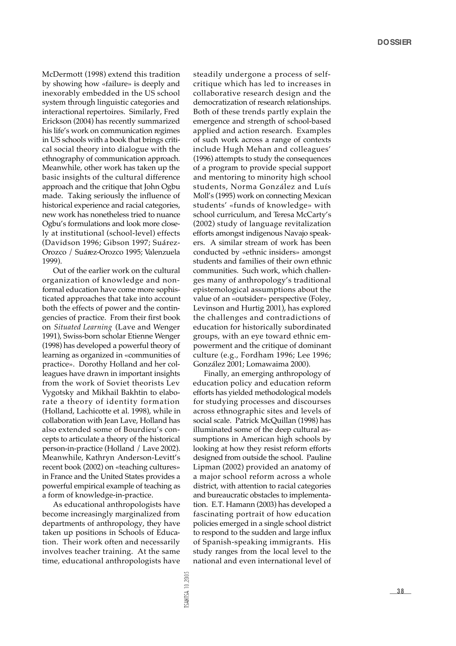McDermott (1998) extend this tradition by showing how «failure» is deeply and inexorably embedded in the US school system through linguistic categories and interactional repertoires. Similarly, Fred Erickson (2004) has recently summarized his life's work on communication regimes in US schools with a book that brings critical social theory into dialogue with the ethnography of communication approach. Meanwhile, other work has taken up the basic insights of the cultural difference approach and the critique that John Ogbu made. Taking seriously the influence of historical experience and racial categories, new work has nonetheless tried to nuance Ogbu's formulations and look more closely at institutional (school-level) effects (Davidson 1996; Gibson 1997; Suárez-Orozco / Suárez-Orozco 1995; Valenzuela 1999).

Out of the earlier work on the cultural organization of knowledge and nonformal education have come more sophisticated approaches that take into account both the effects of power and the contingencies of practice. From their first book on *Situated Learning* (Lave and Wenger 1991), Swiss-born scholar Etienne Wenger (1998) has developed a powerful theory of learning as organized in «communities of practice». Dorothy Holland and her colleagues have drawn in important insights from the work of Soviet theorists Lev Vygotsky and Mikhail Bakhtin to elaborate a theory of identity formation (Holland, Lachicotte et al. 1998), while in collaboration with Jean Lave, Holland has also extended some of Bourdieu's concepts to articulate a theory of the historical person-in-practice (Holland / Lave 2002). Meanwhile, Kathryn Anderson-Levitt's recent book (2002) on «teaching cultures» in France and the United States provides a powerful empirical example of teaching as a form of knowledge-in-practice.

As educational anthropologists have become increasingly marginalized from departments of anthropology, they have taken up positions in Schools of Education. Their work often and necessarily involves teacher training. At the same time, educational anthropologists have steadily undergone a process of selfcritique which has led to increases in collaborative research design and the democratization of research relationships. Both of these trends partly explain the emergence and strength of school-based applied and action research. Examples of such work across a range of contexts include Hugh Mehan and colleagues' (1996) attempts to study the consequences of a program to provide special support and mentoring to minority high school students, Norma González and Luís Moll's (1995) work on connecting Mexican students' «funds of knowledge» with school curriculum, and Teresa McCarty's (2002) study of language revitalization efforts amongst indigenous Navajo speakers. A similar stream of work has been conducted by «ethnic insiders» amongst students and families of their own ethnic communities. Such work, which challenges many of anthropology's traditional epistemological assumptions about the value of an «outsider» perspective (Foley, Levinson and Hurtig 2001), has explored the challenges and contradictions of education for historically subordinated groups, with an eye toward ethnic empowerment and the critique of dominant culture (e.g., Fordham 1996; Lee 1996; González 2001; Lomawaima 2000).

Finally, an emerging anthropology of education policy and education reform e fforts has yielded methodological models for studying processes and discourses across ethnographic sites and levels of social scale. Patrick McQuillan (1998) has illuminated some of the deep cultural assumptions in American high schools by looking at how they resist reform efforts designed from outside the school. Pauline Lipman (2002) provided an anatomy of a major school reform across a whole district, with attention to racial categories and bureaucratic obstacles to implementation. E.T. Hamann (2003) has developed a fascinating portrait of how education policies emerged in a single school district to respond to the sudden and large influx of Spanish-speaking immigrants. His study ranges from the local level to the national and even international level of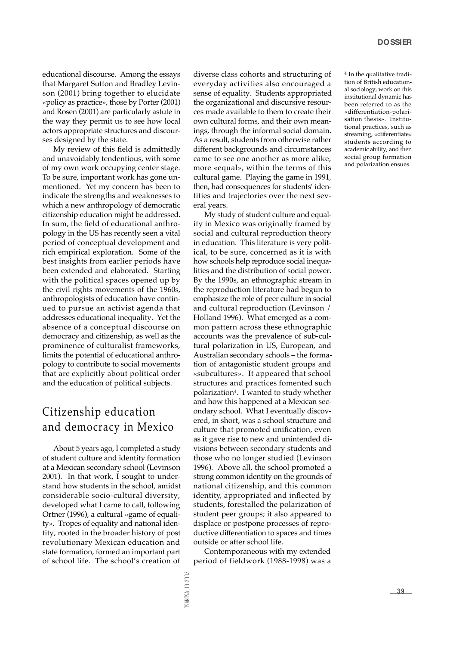educational discourse. Among the essays that Margaret Sutton and Bradley Levinson (2001) bring together to elucidate «policy as practice», those by Porter (2001) and Rosen (2001) are particularly astute in the way they permit us to see how local actors appropriate structures and discourses designed by the state.

My review of this field is admittedly and unavoidably tendentious, with some of my own work occupying center stage. To be sure, important work has gone unmentioned. Yet my concern has been to indicate the strengths and weaknesses to which a new anthropology of democratic citizenship education might be addressed. In sum, the field of educational anthropology in the US has recently seen a vital period of conceptual development and rich empirical exploration. Some of the best insights from earlier periods have been extended and elaborated. Starting with the political spaces opened up by the civil rights movements of the 1960s, an thropologists of education have continued to pursue an activist agenda that addresses educational inequality. Yet the absence of a conceptual discourse on democracy and citizenship, as well as the p rominence of culturalist frameworks, limits the potential of educational anthropology to contribute to social movements that are explicitly about political order and the education of political subjects.

#### Citizenship education and democracy in Mexico

About 5 years ago, I completed a study of student culture and identity formation at a Mexican secondary school (Levinson 2001). In that work, I sought to understand how students in the school, amidst considerable socio-cultural diversity, developed what I came to call, following Ortner (1996), a cultural «game of equality». Tropes of equality and national identity, rooted in the broader history of post revolutionary Mexican education and state formation, formed an important part of school life. The school's creation of diverse class cohorts and structuring of everyday activities also encouraged a sense of equality. Students appropriated the organizational and discursive resources made available to them to create their own cultural forms, and their own meanings, through the informal social domain. As a result, students from otherwise rather different backgrounds and circumstances came to see one another as more alike, more «equal», within the terms of this cultural game. Playing the game in 1991, then, had consequences for students' identities and trajectories over the next several years.

My study of student culture and equality in Mexico was originally framed by social and cultural reproduction theory in education. This literature is very political, to be sure, concerned as it is with how schools help reproduce social inequalities and the distribution of social power. By the 1990s, an ethnographic stream in the reproduction literature had begun to emphasize the role of peer culture in social and cultural reproduction (Levinson / Holland 1996). What emerged as a common pattern across these ethnographic accounts was the prevalence of sub-cultural polarization in US, European, and Australian secondary schools – the formation of antagonistic student groups and «subcultures». It appeared that school structures and practices fomented such polarization<sup>4</sup>. I wanted to study whether and how this happened at a Mexican secondary school. What I eventually discovered, in short, was a school structure and culture that promoted unification, even as it gave rise to new and unintended divisions between secondary students and those who no longer studied (Levinson 1996). Above all, the school promoted a strong common identity on the grounds of national citizenship, and this common identity, appropriated and inflected by students, forestalled the polarization of student peer groups; it also appeared to displace or postpone processes of reproductive differentiation to spaces and times outside or after school life.

Contemporaneous with my extended period of fieldwork (1988-1998) was a

4 In the qualitative tradition of British educational sociology, work on this institutional dynamic has been referred to as the «differentiation-polarisation thesis». Institutional practices, such as streaming, «differentiate» students according to academic ability, and then social group formation and polarization ensues.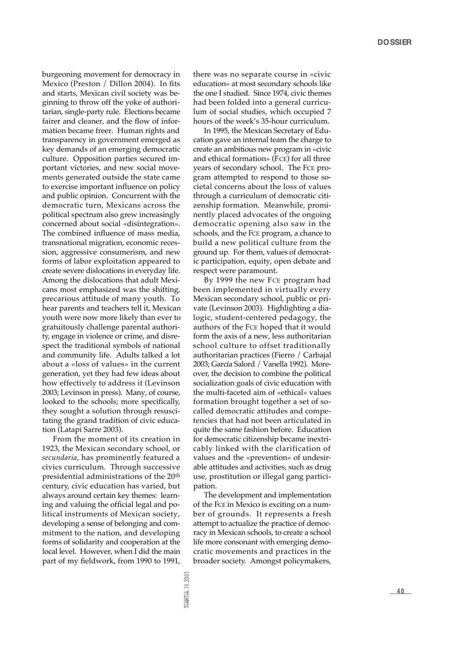burgeoning movement for democracy in Mexico (Preston / Dillon 2004). In fits and starts, Mexican civil society was beginning to throw off the yoke of authoritarian, single-party rule. Elections became fairer and cleaner, and the flow of information became freer. Human rights and transparency in government emerged as key demands of an emerging democratic culture. Opposition parties secured important victories, and new social movements generated outside the state came to exercise important influence on policy and public opinion. Concurrent with the democratic turn, Mexicans across the political spectrum also grew increasingly concerned about social «disintegration». The combined influence of mass media, transnational migration, economic recession, aggressive consumerism, and new forms of labor exploitation appeared to create severe dislocations in everyday life. Among the dislocations that adult Mexicans most emphasized was the shifting, p recarious attitude of many youth. To hear parents and teachers tell it, Mexican youth were now more likely than ever to gratuitously challenge parental authority, engage in violence or crime, and disrespect the traditional symbols of national and community life. Adults talked a lot about a «loss of values» in the current generation, yet they had few ideas about how effectively to address it (Levinson 2003; Levinson in press). Many, of course, looked to the schools; more specifically, they sought a solution through resuscitating the grand tradition of civic education (Latapi Sarre 2003).

From the moment of its creation in 1923, the Mexican secondary school, or secundaria, has prominently featured a civics curriculum. Through successive presidential administrations of the 20<sup>th</sup> century, civic education has varied, but always around certain key themes: learning and valuing the official legal and political instruments of Mexican society, developing a sense of belonging and commitment to the nation, and developing forms of solidarity and cooperation at the local level. However, when I did the main part of my fieldwork, from 1990 to 1991, there was no separate course in «civic education» at most secondary schools like the one I studied. Since 1974, civic themes had been folded into a general curriculum of social studies, which occupied 7 hours of the week's 35-hour curriculum.

In 1995, the Mexican Secretary of Education gave an internal team the charge to create an ambitious new program in «civic and ethical formation» (FCE) for all three years of secondary school. The FCE program attempted to respond to those societal concerns about the loss of values through a curriculum of democratic citizenship formation. Meanwhile, prominently placed advocates of the ongoing democratic opening also saw in the schools, and the FCE program, a chance to build a new political culture from the ground up. For them, values of democratic participation, equity, open debate and respect were paramount.

By 1999 the new FCE program had been implemented in virtually every Mexican secondary school, public or private (Levinson 2003). Highlighting a dialogic, student-centered pedagogy, the authors of the FCE hoped that it would form the axis of a new, less authoritarian school culture to offset traditionally authoritarian practices (Fierro / Carbajal 2003; García Salord / Vanella 1992). Moreover, the decision to combine the political socialization goals of civic education with the multi-faceted aim of «ethical» values formation brought together a set of socalled democratic attitudes and competencies that had not been articulated in quite the same fashion before. Education for democratic citizenship became inextricably linked with the clarification of values and the «prevention» of undesirable attitudes and activities, such as drug use, prostitution or illegal gang participation.

The development and implementation of the FCE in Mexico is exciting on a number of grounds. It represents a fresh attempt to actualize the practice of democracy in Mexican schools, to create a school life more consonant with emerging democratic movements and practices in the broader society. Amongst policymakers,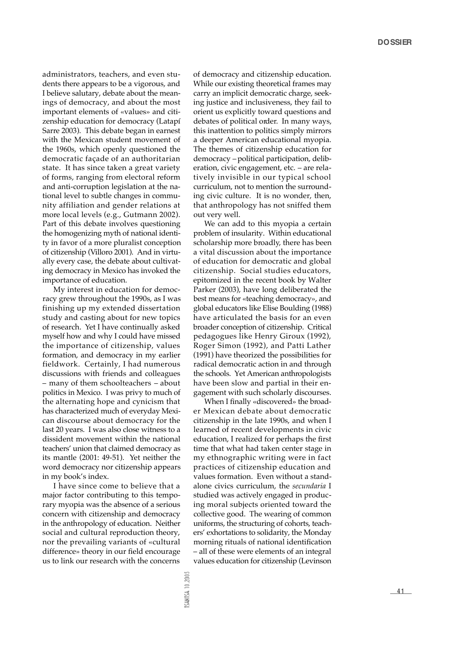administrators, teachers, and even students there appears to be a vigorous, and I believe salutary, debate about the meanings of democracy, and about the most important elements of «values» and citizenship education for democracy (Latapí Sarre 2003). This debate began in earnest with the Mexican student movement of the 1960s, which openly questioned the democratic façade of an authoritarian state. It has since taken a great variety of forms, ranging from electoral reform and anti-corruption legislation at the national level to subtle changes in community affiliation and gender relations at more local levels (e.g., Gutmann 2002). Part of this debate involves questioning the homogenizing myth of national identity in favor of a more pluralist conception of citizenship (Villoro 2001). And in virtually every case, the debate about cultivating democracy in Mexico has invoked the importance of education.

My interest in education for democracy grew throughout the 1990s, as I was finishing up my extended dissertation study and casting about for new topics of research. Yet I have continually asked myself how and why I could have missed the importance of citizenship, values formation, and democracy in my earlier fieldwork. Certainly, I had numerous discussions with friends and colleagues – many of them schoolteachers – about politics in Mexico. I was privy to much of the alternating hope and cynicism that has characterized much of everyday Mexican discourse about democracy for the last 20 years. I was also close witness to a dissident movement within the national teachers' union that claimed democracy as its mantle (2001: 49-51). Yet neither the word democracy nor citizenship appears in my book's index.

I have since come to believe that a major factor contributing to this temporary myopia was the absence of a serious concern with citizenship and democracy in the anthropology of education. Neither social and cultural reproduction theory, nor the prevailing variants of «cultural difference» theory in our field encourage us to link our research with the concerns

of democracy and citizenship education. While our existing theoretical frames may carry an implicit democratic charge, seeking justice and inclusiveness, they fail to orient us explicitly toward questions and debates of political order. In many ways, this inattention to politics simply mirrors a deeper American educational myopia. The themes of citizenship education for democracy –political participation, deliberation, civic engagement, etc. – are relatively invisible in our typical school curriculum, not to mention the surrounding civic culture. It is no wonder, then, that anthropology has not sniffed them out very well.

We can add to this myopia a certain problem of insularity. Within educational scholarship more broadly, there has been a vital discussion about the importance of education for democratic and global citizenship. Social studies educators, epitomized in the recent book by Walter Parker (2003), have long deliberated the best means for «teaching democracy», and global educators like Elise Boulding (1988) have articulated the basis for an even broader conception of citizenship. Critical pedagogues like Henry Giroux (1992), Roger Simon (1992), and Patti Lather (1991) have theorized the possibilities for radical democratic action in and through the schools. Yet American anthropologists have been slow and partial in their engagement with such scholarly discourses.

When I finally «discovered» the broader Mexican debate about democratic citizenship in the late 1990s, and when I learned of recent developments in civic education, I realized for perhaps the first time that what had taken center stage in my ethnographic writing were in fact practices of citizenship education and values formation. Even without a standalone civics curriculum, the *secundaria* I studied was actively engaged in producing moral subjects oriented toward the collective good. The wearing of common uniforms, the structuring of cohorts, teachers' exhortations to solidarity, the Monday morning rituals of national identification – all of these were elements of an integral values education for citizenship (Levinson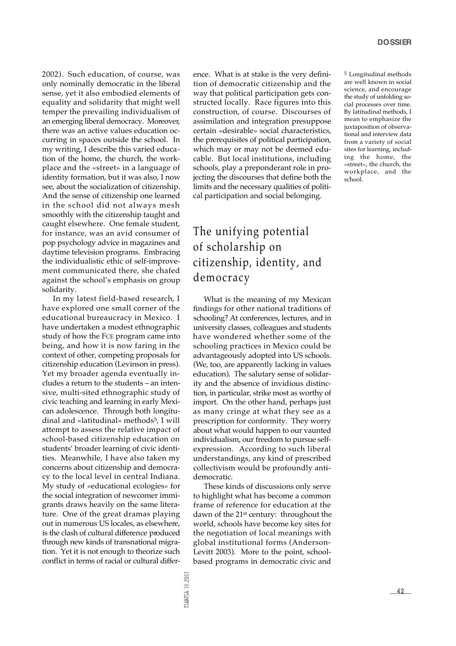2002). Such education, of course, was only nominally democratic in the liberal sense, yet it also embodied elements of equality and solidarity that might well temper the prevailing individualism of an emerging liberal democracy. Moreover, there was an active values education occurring in spaces outside the school. In my writing, I describe this varied education of the home, the church, the workplace and the «street» in a language of identity formation, but it was also, I now see, about the socialization of citizenship. And the sense of citizenship one learned in the school did not always mesh smoothly with the citizenship taught and caught elsewhere. One female student, for instance, was an avid consumer of pop psychology advice in magazines and daytime television programs. Embracing the individualistic ethic of self-improvement communicated there, she chafed against the school's emphasis on group solidarity.

In my latest field-based research, I have explored one small corner of the educational bureaucracy in Mexico. I have undertaken a modest ethnographic study of how the FCE program came into being, and how it is now faring in the context of other, competing proposals for citizenship education (Levinson in press). Yet my broader agenda eventually includes a return to the students – an intensive, multi-sited ethnographic study of civic teaching and learning in early Mexican adolescence. Through both longitudinal and «latitudinal» methods<sup>5</sup>, I will attempt to assess the relative impact of school-based citizenship education on students' broader learning of civic identities. Meanwhile, I have also taken my concerns about citizenship and democracy to the local level in central Indiana. My study of «educational ecologies» for the social integration of newcomer immigrants draws heavily on the same literature. One of the great dramas playing out in numerous US locales, as elsewhere, is the clash of cultural difference produced through new kinds of transnational migration. Yet it is not enough to theorize such conflict in terms of racial or cultural difference. What is at stake is the very definition of democratic citizenship and the way that political participation gets constructed locally. Race figures into this construction, of course. Discourses of assimilation and integration presuppose certain «desirable» social characteristics, the prerequisites of political participation, which may or may not be deemed educable. But local institutions, including schools, play a preponderant role in projecting the discourses that define both the limits and the necessary qualities of political participation and social belonging.

The unifying potential of scholarship on citizenship, identity, and democracy

What is the meaning of my Mexican findings for other national traditions of schooling? At conferences, lectures, and in university classes, colleagues and students have wondered whether some of the schooling practices in Mexico could be advantageously adopted into US schools. ( We, too, are apparently lacking in values education). The salutary sense of solidarity and the absence of invidious distinction, in particular, strike most as worthy of import. On the other hand, perhaps just as many cringe at what they see as a prescription for conformity. They worry about what would happen to our vaunted individualism, our freedom to pursue selfexpression. According to such liberal understandings, any kind of prescribed collectivism would be profoundly antidemocratic.

These kinds of discussions only serve to highlight what has become a common frame of reference for education at the dawn of the 21<sup>st</sup> century: throughout the world, schools have become key sites for the negotiation of local meanings with global institutional forms (Anderson-Levitt 2003). More to the point, schoolbased programs in democratic civic and

5 Longitudinal methods are well known in social science, and encourage the study of unfolding social processes over time. By latitudinal methods, I mean to emphasize the juxtaposition of observational and interview data from a variety of social sites for learning, including the home, the «street», the church, the workplace, and the school.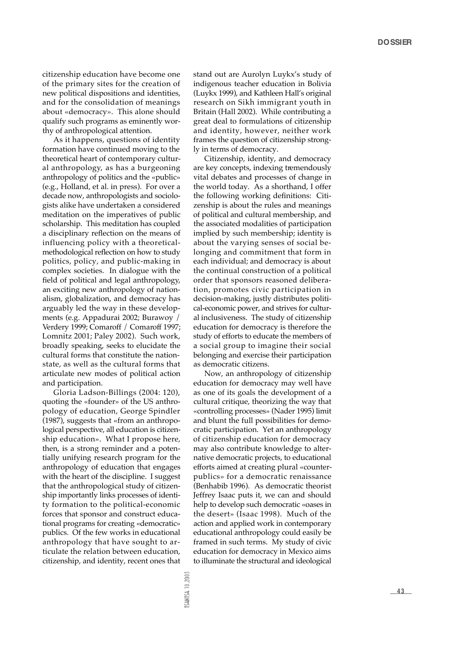citizenship education have become one of the primary sites for the creation of new political dispositions and identities, and for the consolidation of meanings about «democracy». This alone should qualify such programs as eminently worthy of anthropological attention.

As it happens, questions of identity formation have continued moving to the theoretical heart of contemporary cultural anthropology, as has a burgeoning an thropology of politics and the «public» (e.g., Holland, et al. in press). For over a decade now, anthropologists and sociologists alike have undertaken a considered meditation on the imperatives of public scholarship. This meditation has coupled a disciplinary reflection on the means of influencing policy with a theoreticalmethodological reflection on how to study politics, policy, and public-making in complex societies. In dialogue with the field of political and legal anthropology, an exciting new anthropology of nationalism, globalization, and democracy has arguably led the way in these developments (e.g. Appadurai 2002; Burawoy / Verdery 1999; Comaroff / Comaroff 1997; Lomnitz 2001; Paley 2002). Such work, broadly speaking, seeks to elucidate the cultural forms that constitute the nationstate, as well as the cultural forms that articulate new modes of political action and participation.

Gloria Ladson-Billings (2004: 120), quoting the «founder» of the US anthropology of education, George Spindler (1987), suggests that «from an anthropological perspective, all education is citizenship education». What I propose here, then, is a strong reminder and a potentially unifying research program for the anthropology of education that engages with the heart of the discipline. I suggest that the anthropological study of citizenship importantly links processes of identity formation to the political-economic forces that sponsor and construct educational programs for creating «democratic» publics. Of the few works in educational an thropology that have sought to articulate the relation between education, citizenship, and identity, recent ones that stand out are Aurolyn Luykx's study of indigenous teacher education in Bolivia (Luykx 1999), and Kathleen Hall's original re search on Sikh immigrant youth in Britain (Hall 2002). While contributing a great deal to formulations of citizenship and identity, however, neither work frames the question of citizenship strongly in terms of democracy.

Citizenship, identity, and democracy are key concepts, indexing tremendously vital debates and processes of change in the world today. As a shorthand, I offer the following working definitions: Citizenship is about the rules and meanings of political and cultural membership, and the associated modalities of participation implied by such membership; identity is about the varying senses of social belonging and commitment that form in each individual; and democracy is about the continual construction of a political order that sponsors reasoned deliberation, promotes civic participation in decision-making, justly distributes political-economic power, and strives for cultural inclusiveness. The study of citizenship education for democracy is therefore the study of efforts to educate the members of a social group to imagine their social belonging and exercise their participation as democratic citizens.

Now, an anthropology of citizenship education for democracy may well have as one of its goals the development of a cultural critique, theorizing the way that « controlling processes» (Nader 1995) limit and blunt the full possibilities for democratic participation. Yet an anthropology of citizenship education for democracy may also contribute knowledge to alternative democratic projects, to educational efforts aimed at creating plural «counterpublics» for a democratic renaissance (Benhabib 1996). As democratic theorist Jeffrey Isaac puts it, we can and should help to develop such democratic «oases in the desert» (Isaac 1998). Much of the action and applied work in contemporary educational anthropology could easily be framed in such terms. My study of civic education for democracy in Mexico aims to illuminate the structural and ideological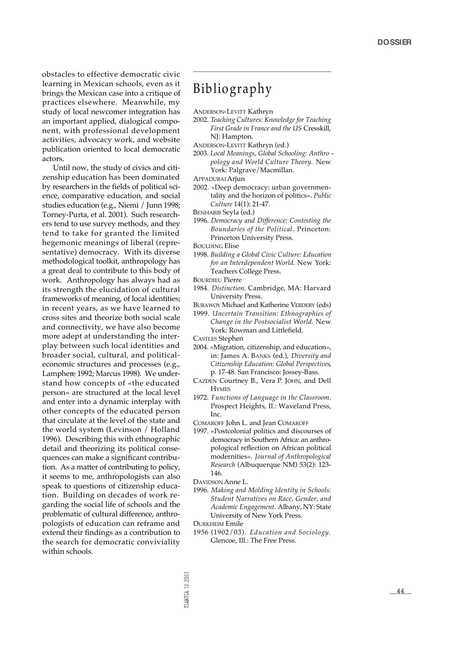obstacles to effective democratic civic learning in Mexican schools, even as it brings the Mexican case into a critique of practices elsewhere. Meanwhile, my study of local newcomer integration has an important applied, dialogical component, with professional development activities, advocacy work, and website publication oriented to local democratic actors.

Until now, the study of civics and citizenship education has been dominated by researchers in the fields of political science, comparative education, and social studies education (e.g., Niemi / Junn 1998; Torney-Purta, et al. 2001). Such researchers tend to use survey methods, and they tend to take for granted the limited hegemonic meanings of liberal (representative) democracy. With its diverse methodological toolkit, anthropology has a great deal to contribute to this body of work. Anthropology has always had as its strength the elucidation of cultural frameworks of meaning, of local identities; in recent years, as we have learned to cross sites and theorize both social scale and connectivity, we have also become more adept at understanding the interplay between such local identities and broader social, cultural, and politicaleconomic structures and processes (e.g., Lamphere 1992; Marcus 1998). We understand how concepts of «the educated person» are structured at the local level and enter into a dynamic interplay with other concepts of the educated person that circulate at the level of the state and the world system (Levinson / Holland 1996). Describing this with ethnographic detail and theorizing its political consequences can make a significant contribution. As a matter of contributing to policy, it seems to me, anthropologists can also speak to questions of citizenship education. Building on decades of work regarding the social life of schools and the problematic of cultural difference, anthropologists of education can reframe and extend their findings as a contribution to the search for democratic conviviality within schools.

## Bibliography

- ANDERSON-LEVITT Kathryn
- 2002. *Teaching Cultures: Knowledge for Teaching* First Grade in France and the US Cresskill, NJ: Hampton.
- ANDERSON-LEVITT Kathryn (ed.)
- 2003. *Local Meanings, Global Schooling: Anthro pology and World Culture Theory.* New York: Palgrave/Macmillan.
- APPADURAI Arjun
- 2002. «Deep democracy: urban governmentality and the horizon of politics». *Public Culture* 14(1): 21-47.
- BENHABIB Seyla (ed.)
- 1996. *Democracy and Difference: Contesting the Boundaries of the Political*. Princeton: Princeton University Press.
- BOULDING Elise
- 1998. *Building a Global Civic Culture: Education for an Interdependent World*. New York: Teachers College Press.
- BOURDIEU Pierre
- 1984. *Distinction*. Cambridge, MA: Harvard University Press.
- BURAWOY Michael and Katherine VERDERY (eds)
- 1999. *Uncertain Transition: Ethnographies of Change in the Postsocialist World. New* York: Rowman and Littlefield.
- CASTLES Stephen
- 2004. «Migration, citizenship, and education», in: James A. BANKS (ed.), *Diversity and Citizenship Education: Global Perspectives*, p. 17-48. San Francisco: Jossey-Bass.
- CAZDEN Courtney B., Vera P. JOHN, and Dell **HYMES**
- 1972. Functions of Language in the Classroom. Prospect Heights, Il.: Waveland Press, Inc.
- COMAROFF John L. and Jean COMAROFF
- 1997. «Postcolonial politics and discourses of democracy in Southern Africa: an anthropological reflection on African political modernities». *Journal of Anthropological Research* (Albuquerque NM) 53(2): 123- 146.
- DAVIDSON Anne L.
- 1996. *Making and Molding Identity in Schools: Student Narratives on Race, Gender, and Academic Engagement*. Albany, NY: State University of New York Press.

DURKHEIM Emile

1956 (1902/03). *Education and Sociology.* Glencoe, Ill.: The Free Press.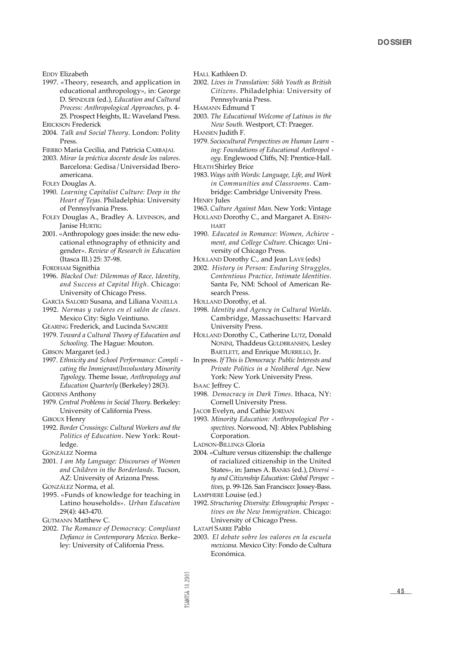- 1997. «Theory, research, and application in educational anthropology», in: George D. SPINDLER (ed.), *Education and Cultural Process: Anthropological Approaches*, p. 4- 25. Prospect Heights, IL: Waveland Press. ERICKSON Frederick
- 2004. *Talk and Social Theory*. London: Polity Press.
- FIERRO Maria Cecilia, and Patricia CARBAJAL
- 2003. *Mirar la práctica docente desde los valores*. Barcelona: Gedisa / Universidad Iberoamericana.
- FOLEY Douglas A.
- 1990. *Learning Capitalist Culture: Deep in the* Heart of Tejas. Philadelphia: University of Pennsylvania Press.
- FOLEY Douglas A., Bradley A. LEVINSON, and Janise HURTIG
- 2001. «Anthropology goes inside: the new educational ethnography of ethnicity and gender». *Review of Research in Education* (Itasca Ill.) 25: 37-98.

FORDHAM Signithia

- 1996. *Blacked Out: Dilemmas of Race, Identity, and Success at Capital High*. Chicago: University of Chicago Press.
- GARCÍA SALORD Susana, and Liliana VANELLA

1992. *Normas y valores en el salón de clases*. Mexico City: Siglo Veintiuno.

GEARING Frederick, and Lucinda SANGREE

- 1979. *Toward a Cultural Theory of Education and Schooling*. The Hague: Mouton.
- GIBSON Margaret (ed.)
- 1997. *Ethnicity and School Performance: Compli cating the Immigrant/Involuntary Minority Ty p o l o g y*. Theme Issue, *A n t h ropology and Education Quarterly* (Berkeley) 28(3).

GIDDENS Anthony

1979. Central Problems in Social Theory. Berkeley: University of California Press.

GIROUX Henry

- 1992. *Border Crossings: Cultural Workers and the Politics of Education*. New York: Routledge.
- GONZÁLEZ Norma
- 2001. *I am My Language: Discourses of Women* and Children in the Borderlands. Tucson, AZ: University of Arizona Press.

GONZÁLEZ Norma, et al.

1995. «Funds of knowledge for teaching in Latino households». *Urban Education* 29(4): 443-470.

GUTMANN Matthew C.

2002. *The Romance of Democracy: Compliant Defiance in Contemporary Mexico*. Berkeley: University of California Press.

HALL Kathleen D.

- 2002. *Lives in Translation: Sikh Youth as British* Citizens. Philadelphia: University of Pennsylvania Press.
- HAMANN Edmund T
- 2003. *The Educational Welcome of Latinos in the New South.* Westport, CT: Praeger.
- HANSEN Judith F.
- 1979. *Sociocultural Perspectives on Human Learn ing: Foundations of Educational Anthropol ogy*. Englewood Cliffs, NJ: Prentice-Hall. HEATH Shirley Brice
- 1983. Ways with Words: Language, Life, and Work *in Communities and Classrooms. Cam*bridge: Cambridge University Press.
- **HENRY** Jules 1963. Culture Against Man. New York: Vintage
- HOLLAND Dorothy C., and Margaret A. EISEN-HART
- 1990. *Educated in Romance: Women, Achieve ment, and College Culture*. Chicago: University of Chicago Press.
- HOLLAND Dorothy C., and Jean LAVE (eds)
- 2002. *History in Person: Enduring Struggles, Contentious Practice, Intimate Identities*. Santa Fe, NM: School of American Research Press.
- HOLLAND Dorothy, et al.
- 1998. Identity and Agency in Cultural Worlds. Cambridge, Massachusetts: Harvard University Press.
- HOLLAND Dorothy C., Catherine LUTZ, Donald NONINI, Thaddeus GULDBRANSEN, Lesley BARTLETT, and Enrique MURRILLO, Jr.
- In press. *If This is Democracy: Public Interests and Private Politics in a Neoliberal Age*. New York: New York University Press.
- ISAAC Jeffrey C.
- 1998. Democracy in Dark Times. Ithaca, NY: Cornell University Press.
- JACOB Evelyn, and Cathie JORDAN
- 1993. *Minority Education: Anthropological Per*  spectives. Norwood, NJ: Ablex Publishing Corporation.
- LADSON-BILLINGS Gloria
- 2004. «Culture versus citizenship: the challenge of racialized citizenship in the United States», in: James A. BANKS (ed.), *Diversi ty and Citizenship Education: Global Perspec*  tives, p. 99-126. San Francisco: Jossey-Bass.
- LAMPHERE Louise (ed.)
- 1992. *Structuring Diversity: Ethnographic Perspec tives on the New Immigration*. Chicago: University of Chicago Press.
- LATAPÍ SARRE Pablo
- 2003. *El debate sobre los valores en la escuela mexicana*. Mexico City: Fondo de Cultura Económica.

EDDY Elizabeth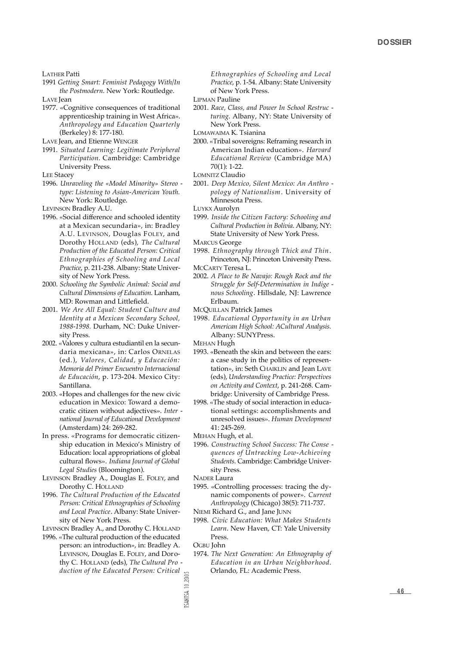LATHER Patti

- 1991 *Getting Smart: Feminist Pedagogy With/In the Postmodern*. New York: Routledge. LAVE Jean
- 1977. «Cognitive consequences of traditional apprenticeship training in West Africa». *A n t h ropology and Education Quarterly* (Berkeley) 8: 177-180.

LAVE Jean, and Etienne WENGER

1991. *Situated Learning: Legitimate Peripheral* Participation. Cambridge: Cambridge University Press.

LEE Stacey

1996. *Unraveling the «Model Minority» Stereo type: Listening to Asian-American Youth.* New York: Routledge.

LEVINSON Bradley A.U.

- 1996. «Social difference and schooled identity at a Mexican secundaria», in: Bradley A.U. LEVINSON, Douglas FOLEY, and Dorothy HOLLAND (eds), *The Cultural P roduction of the Educated Person: Critical Ethnographies of Schooling and Local* Practice, p. 211-238. Albany: State University of New York Press.
- 2000. *Schooling the Symbolic Animal: Social and Cultural Dimensions of Education*. Lanham, MD: Rowman and Littlefield.
- 2001. *We Are All Equal: Student Culture and Identity at a Mexican Secondary School, 1988-1998.* Durham, NC: Duke University Press.
- 2002. «Valores y cultura estudiantil en la secundaria mexicana», in: Carlos ORNELAS (ed.), *Va l o res, Calidad, y Educación: Memoria del Primer Encuentro Internacional de Educación*, p. 173-204. Mexico City: Santillana.
- 2003. «Hopes and challenges for the new civic education in Mexico: Toward a democratic citizen without adjectives». *Inter national Journal of Educational Development* (Amsterdam) 24: 269-282.
- In press. «Programs for democratic citizenship education in Mexico's Ministry of Education: local appropriations of global cultural flows». *Indiana Journal of Global Legal Studies* (Bloomington).
- LEVINSON Bradley A., Douglas E. FOLEY, and Dorothy C. HOLLAND
- 1996. *The Cultural Production of the Educated Person: Critical Ethnographies of Schooling and Local Practice*. Albany: State University of New York Press.

LEVINSON Bradley A., and Dorothy C. HOLLAND

1996. «The cultural production of the educated person: an introduction», in: Bradley A. LEVINSON, Douglas E. FOLEY, and Dorothy C. HOLLAND (eds), *The Cultural Pro duction of the Educated Person: Critical*

*Ethnographies of Schooling and Local* Practice, p. 1-54. Albany: State University of New York Press.

LIPMAN Pauline

2001. *Race, Class, and Power In School Restruc turing*. Albany, NY: State University of New York Press.

LOMAWAIMA K. Tsianina

- 2000. «Tribal sovereigns: Reframing research in American Indian education». Harvard *Educational Review* (Cambridge MA)  $70(1)$ : 1-22
- LOMNITZ Claudio
- 2001. *Deep Mexico, Silent Mexico: An Anthro pology of Nationalism*. University of Minnesota Press.

LUYKX Aurolyn

1999. *Inside the Citizen Factory: Schooling and Cultural Production in Bolivia*. Albany, NY: State University of New York Press.

MARCUS George

1998. *Ethnography through Thick and Thin*. Princeton, NJ: Princeton University Press.

MCCARTY Teresa L.

- 2002. *A Place to Be Navajo: Rough Rock and the Struggle for Self-Determination in Indige nous Schooling*. Hillsdale, NJ: Lawrence Erlbaum.
- MCQUILLAN Patrick James
- 1998. *Educational Opportunity in an Urban American High School: ACultural Analysis.* Albany: SUNYPress.

MEHAN Hugh

- 1993. «Beneath the skin and between the ears: a case study in the politics of representation», in: Seth CHAIKLIN and Jean LAVE (eds), *Understanding Practice: Perspectives on Activity and Context*, p. 241-268. Cambridge: University of Cambridge Press.
- 1998. «The study of social interaction in educational settings: accomplishments and unresolved issues». Human Development 41: 245-269.

MEHAN Hugh, et al.

1996. *Constructing School Success: The Conse quences of Untracking Low-Achieving* **Students. Cambridge: Cambridge Univer**sity Press.

NADER Laura

- 1995. «Controlling processes: tracing the dynamic components of power». Current *Anthropology* (Chicago) 38(5): 711-737.
- NIEMI Richard G., and Jane JUNN
- 1998. *Civic Education: What Makes Students Learn*. New Haven, CT: Yale University Press.

OGBU John

1974. *The Next Generation: An Ethnography of Education in an Urban Neighborhood.* Orlando, FL: Academic Press.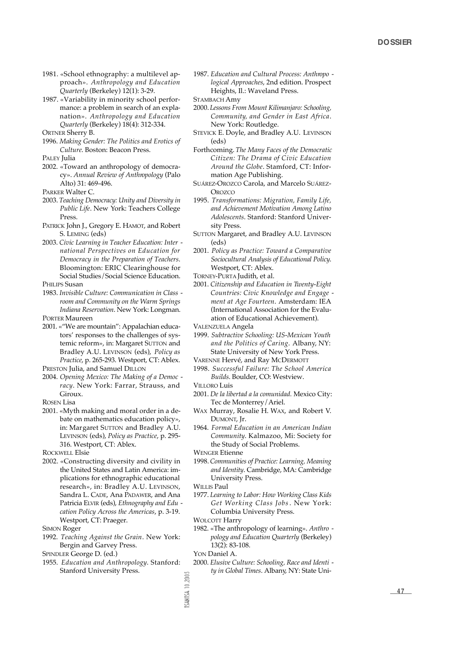- 1981. «School ethnography: a multilevel approach». Anthropology and Education *Quarterly* (Berkeley) 12(1): 3-29.
- 1987. «Variability in minority school performance: a problem in search of an explanation». Anthropology and Education *Quarterly* (Berkeley) 18(4): 312-334.

ORTNER Sherry B.

1996. *Making Gender: The Politics and Erotics of Culture*. Boston: Beacon Press.

PALEY **Julia** 

2002. «Toward an anthropology of democracy». Annual Review of Anthropology (Palo Alto) 31: 469-496.

PARKER Walter C.

- 2003. *Teaching Democracy: Unity and Diversity in Public Life*. New York: Teachers College Press.
- PATRICK John J., Gregory E. HAMOT, and Robert S. LEMING (eds)
- 2003. *Civic Learning in Teacher Education: Inter national Perspectives on Education for Democracy in the Preparation of Teachers*. Bloomington: ERIC Clearinghouse for Social Studies/Social Science Education. PHILIPS Susan

- 1983. *Invisible Culture: Communication in Class room and Community on the Warm Springs Indiana Reservation*. New York: Longman. PORTER Maureen
- 2001. «"We are mountain": Appalachian educators' responses to the challenges of systemic reform», in: Margaret SUTTON and Bradley A.U. LEVINSON (eds), *Policy as Practice, p. 265-293. Westport, CT: Ablex.*

PRESTON Julia, and Samuel DILLON

2004. *Opening Mexico: The Making of a Democ*  racy. New York: Farrar, Strauss, and Giroux.

ROSEN Lisa

2001. «Myth making and moral order in a debate on mathematics education policy», in: Margaret SUTTON and Bradley A.U. LEVINSON (eds), Policy as Practice, p. 295-316. Westport, CT: Ablex.

ROCKWELL Elsie

2002. «Constructing diversity and civility in the United States and Latin America: implications for ethnographic educational research», in: Bradley A.U. LEVINSON, Sandra L. CADE, Ana PADAWER, and Ana Patricia ELVIR (eds), *Ethnography and Edu cation Policy Across the Americas*, p. 3-19. Westport, CT: Praeger.

SIMON Roger

1992. Teaching Against the Grain. New York: Bergin and Garvey Press.

SPINDLER George D. (ed.)

1955. Education and Anthropology. Stanford: Stanford University Press.

1987. Education and Cultural Process: Anthropo *logical Approaches*, 2nd edition. Prospect Heights, Il.: Waveland Press.

STAMBACH Amy

- 2000. *Lessons From Mount Kilimanjaro: Schooling,* Community, and Gender in East Africa. New York: Routledge.
- STEVICK E. Doyle, and Bradley A.U. LEVINSON (eds)
- Forthcoming. *The Many Faces of the Democratic Citizen: The Drama of Civic Education A round the Globe*. Stamford, CT: Information Age Publishing.
- SUÁREZ-OROZCO Carola, and Marcelo SUÁREZ-**OROZCO**
- 1995. *Transformations: Migration, Family Life, and Achievement Motivation Among Latino* Adolescents. Stanford: Stanford University Press.
- SUTTON Margaret, and Bradley A.U. LEVINSON (eds)
- 2001. *Policy as Practice: Toward a Comparative Sociocultural Analysis of Educational Policy*. Westport, CT: Ablex.

TORNEY-PURTA Judith, et al.

2001. Citizenship and Education in Twenty-Eight *Countries: Civic Knowledge and Engage ment at Age Fourteen*. Amsterdam: IEA (International Association for the Evaluation of Educational Achievement).

VALENZUELA Angela

- 1999. *Subtractive Schooling: US-Mexican Youth* and the Politics of Caring. Albany, NY: State University of New York Press.
- VARENNE Hervé, and Ray MCDERMOTT
- 1998. *Successful Failure: The School America Builds*. Boulder, CO: Westview.
- VILLORO Luis
- 2001. *De la libertad a la comunidad.* Mexico City: Tec de Monterrey/Ariel.
- WAX Murray, Rosalie H. WAX, and Robert V. DUMONT, Jr.
- 1964. *Formal Education in an American Indian* Community. Kalmazoo, Mi: Society for the Study of Social Problems.

WENGER Etienne

- 1998. *Communities of Practice: Learning, Meaning and Identity*. Cambridge, MA: Cambridge University Press.
- WILLIS Paul
- 1977. *Learning to Labor: How Working Class Kids* Get Working Class Jobs. New York: Columbia University Press.
- WOLCOTT Harry
- 1982. «The anthropology of learning». Anthro  $p$ *ology and Education Quarterly* (Berkeley) 13(2): 83-108.

YON Daniel A.

2000. *Elusive Culture: Schooling, Race and Identi*  ty in Global Times. Albany, NY: State Uni